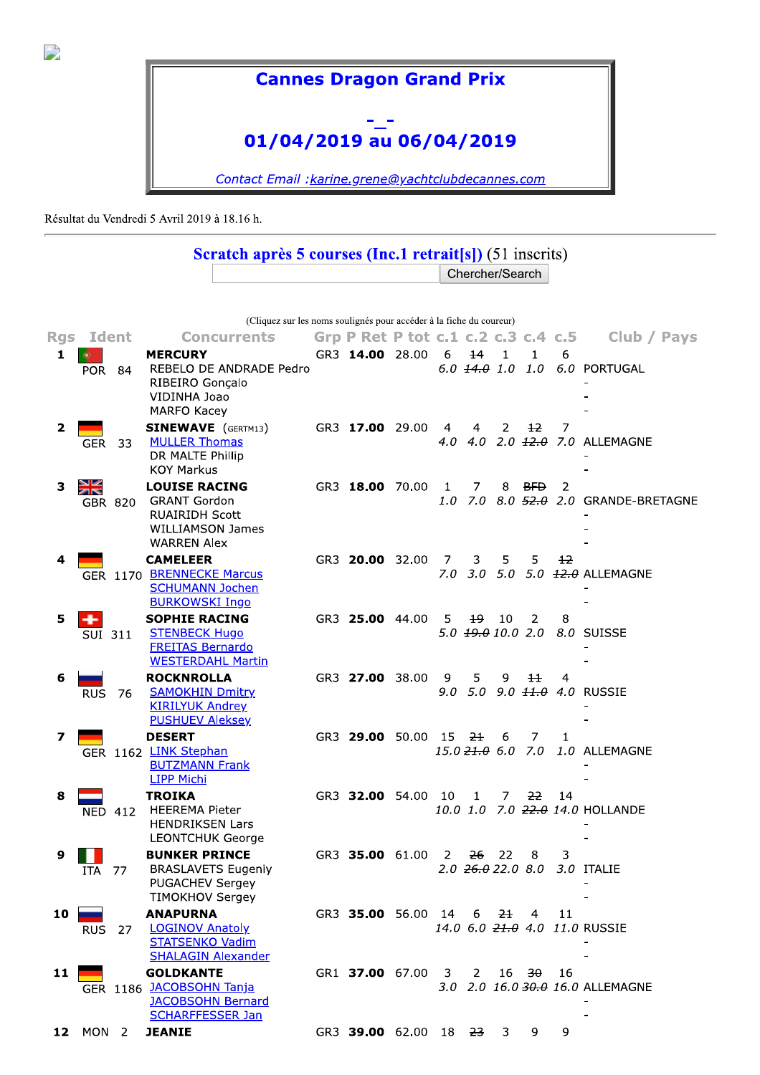

## **Cannes Dragon Grand Prix**

## 01/04/2019 au 06/04/2019

Contact Email : karine.grene@yachtclubdecannes.com

Résultat du Vendredi 5 Avril 2019 à 18.16 h.

## Scratch après 5 courses (Inc.1 retrait[s]) (51 inscrits) Chercher/Search

|                | (Cliquez sur les noms soulignés pour accéder à la fiche du coureur) |                |                                                                                                                       |  |                                               |  |            |                                                       |              |                     |      |                                       |
|----------------|---------------------------------------------------------------------|----------------|-----------------------------------------------------------------------------------------------------------------------|--|-----------------------------------------------|--|------------|-------------------------------------------------------|--------------|---------------------|------|---------------------------------------|
| <b>Rgs</b>     | Ident                                                               |                | <b>Concurrents</b>                                                                                                    |  | Grp P Ret P tot $c.1$ $c.2$ $c.3$ $c.4$ $c.5$ |  |            |                                                       |              |                     |      | Club / Pays                           |
| 1              | <b>POR 84</b>                                                       |                | <b>MERCURY</b><br>REBELO DE ANDRADE Pedro<br>RIBEIRO Gonçalo<br>VIDINHA Joao<br><b>MARFO Kacey</b>                    |  | GR3 14.00 28.00                               |  | 6          | $\pm 4$<br>$6.0$ $14.0$ $1.0$                         | $\mathbf{1}$ | $\mathbf{1}$<br>1.0 | 6    | 6.0 PORTUGAL                          |
| $\overline{2}$ | GER                                                                 | 33             | <b>SINEWAVE</b> (GERTM13)<br><b>MULLER Thomas</b><br>DR MALTE Phillip<br><b>KOY Markus</b>                            |  | GR3 17.00 29.00                               |  | 4<br>4.0   | 4                                                     | 2            | $12 \ \mu$          | 7    | 4.0 2.0 <del>12.0</del> 7.0 ALLEMAGNE |
| з              | ≫<br>AR                                                             | GBR 820        | <b>LOUISE RACING</b><br><b>GRANT Gordon</b><br><b>RUAIRIDH Scott</b><br><b>WILLIAMSON James</b><br><b>WARREN Alex</b> |  | GR3 18.00 70.00                               |  | -1<br>1.0  | 7                                                     | 8            | <del>BFD</del>      | 2    | 7.0 8.0 52.0 2.0 GRANDE-BRETAGNE      |
| 4              |                                                                     |                | <b>CAMELEER</b><br>GER 1170 BRENNECKE Marcus<br><b>SCHUMANN Jochen</b><br><b>BURKOWSKI Ingo</b>                       |  | GR3 20.00 32.00                               |  | - 7<br>7.0 | 3                                                     | 5            | 5.                  | $+2$ | 3.0 5.0 5.0 +2.0 ALLEMAGNE            |
| 5              | SUI 311                                                             |                | <b>SOPHIE RACING</b><br><b>STENBECK Hugo</b><br><b>FREITAS Bernardo</b><br><b>WESTERDAHL Martin</b>                   |  | GR3 25.00 44.00                               |  | 5.         | 49.<br>$5.0 \text{ } 19.0 \text{ } 10.0 \text{ } 2.0$ | 10           | 2                   | 8    | 8.0 SUISSE                            |
| 6              | <b>RUS</b>                                                          | -76            | <b>ROCKNROLLA</b><br><b>SAMOKHIN Dmitry</b><br><b>KIRILYUK Andrey</b><br><b>PUSHUEV Aleksey</b>                       |  | GR3 27.00 38.00                               |  | -9<br>9.0  | 5<br>5.0                                              | 9            | 11                  | 4    | 9.0 11.0 4.0 RUSSIE                   |
| 7              |                                                                     |                | <b>DESERT</b><br>GER 1162 LINK Stephan<br><b>BUTZMANN Frank</b><br><b>LIPP Michi</b>                                  |  | GR3 29.00 50.00 15 21                         |  |            | $15.0 \frac{21.0}{10} 6.0 7.0$                        | 6            | 7                   | 1    | 1.0 ALLEMAGNE                         |
| 8              |                                                                     | <b>NED 412</b> | <b>TROIKA</b><br><b>HEEREMA Pieter</b><br><b>HENDRIKSEN Lars</b><br><b>LEONTCHUK George</b>                           |  | GR3 32.00 54.00                               |  | - 10       | 1                                                     | 7.           | 22                  | 14   | 10.0 1.0 7.0 22.0 14.0 HOLLANDE       |
| 9              | ITA                                                                 | 77             | <b>BUNKER PRINCE</b><br><b>BRASLAVETS Eugeniy</b><br>PUGACHEV Sergey<br><b>TIMOKHOV Sergey</b>                        |  | GR3 35.00 61.00                               |  | 2          | 26<br>$2.0$ $26.0$ $22.0$ $8.0$                       | 22           | 8                   | 3    | 3.0 ITALIE                            |
| 10             | RUS                                                                 | 27             | <b>ANAPURNA</b><br><b>LOGINOV Anatoly</b><br><b>STATSENKO Vadim</b><br><b>SHALAGIN Alexander</b>                      |  | GR3 35.00 56.00 14 6                          |  |            |                                                       |              | <del>21</del> 4     | 11   | 14.0 6.0 21.0 4.0 11.0 RUSSIE         |
| 11             |                                                                     |                | <b>GOLDKANTE</b><br>GER 1186 JACOBSOHN Tanja<br><b>JACOBSOHN Bernard</b><br><b>SCHARFFESSER Jan</b>                   |  | GR1 37.00 67.00 3                             |  |            | 2                                                     |              | 16 <del>30</del>    | 16   | 3.0 2.0 16.0 30.0 16.0 ALLEMAGNE      |
|                | <b>12</b> MON 2                                                     |                | <b>JEANIE</b>                                                                                                         |  | GR3 39.00 62.00 18 23                         |  |            |                                                       | 3            | 9.                  | 9    |                                       |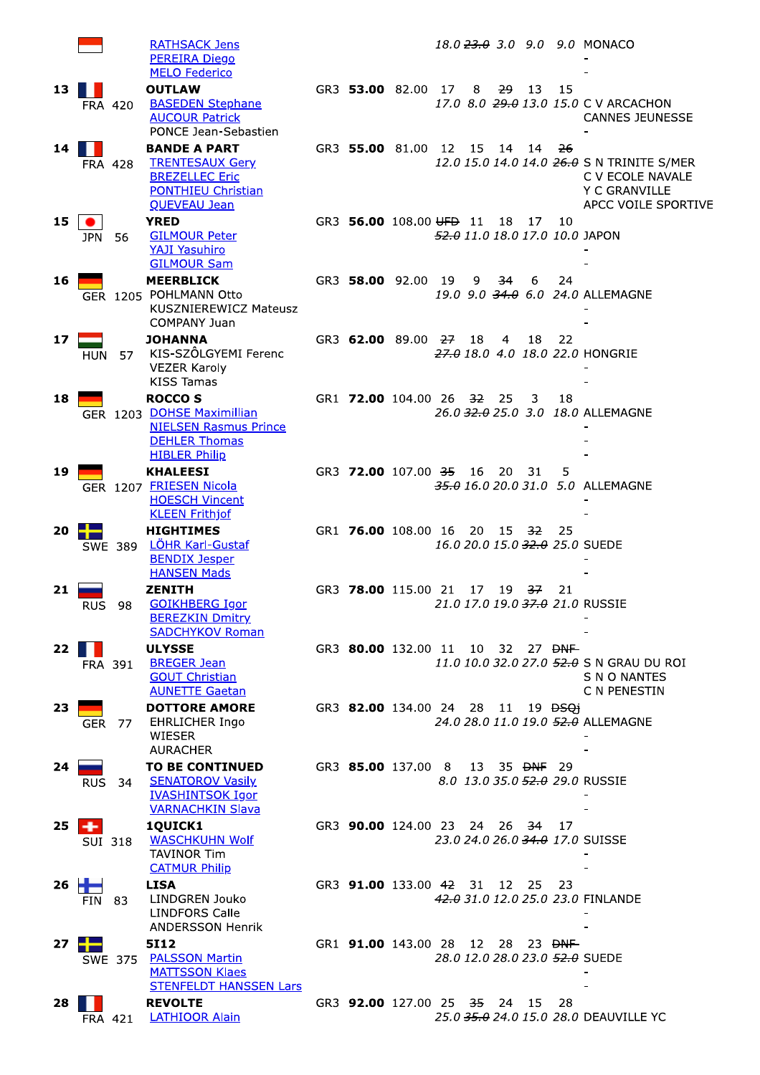**RATHSACK Jens PEREIRA Diego MELO Federico** H L **OUTLAW** 13 **BASEDEN Stephane FRA 420 AUCOUR Patrick** PONCE Jean-Sebastien  $14$   $\blacksquare$ **BANDE A PART TRENTESAUX Gery FRA 428 BREZELLEC Eric PONTHIEU Christian OUEVEAU Jean** 15  $\bullet$ **YRED GILMOUR Peter JPN** 56 **YAJI Yasuhiro GILMOUR Sam MEERBLICK** 16 GER 1205 POHLMANN Otto KUSZNIEREWICZ Mateusz **COMPANY Juan** 17 **JOHANNA** KIS-SZÖLGYEMI Ferenc **HUN** 57 **VEZER Karoly KISS Tamas ROCCO S** 18 GER 1203 DOHSE Maximillian **NIELSEN Rasmus Prince DEHLER Thomas HIBLER Philip KHALEESI** 19 **FRIESEN Nicola** GER 1207 **HOESCH Vincent KLEEN Frithjof** 20 **HIGHTIMES** --LÖHR Karl-Gustaf SWE 389 **BENDIX Jesper HANSEN Mads ZENTTH** 21 سي **GOIKHBERG Igor RUS** 98 **BEREZKIN Dmitry SADCHYKOV Roman ULYSSE** 22  $\blacksquare$ **BREGER Jean FRA 391 GOUT Christian AUNETTE Gaetan** 23 **DOTTORE AMORE EHRLICHER Ingo GER** 77 **WIESER AURACHER TO BE CONTINUED**  $24$ **SENATOROV Vasily**  $RUS$ 34 **IVASHINTSOK Igor VARNACHKIN Slava** 1QUICK1 25 . **WASCHKUHN Wolf SUI 318 TAVINOR Tim CATMUR Philip** 26 ÷ **LISA**  $FIN$ 83 **LINDGREN Jouko LINDFORS Calle ANDERSSON Henrik**  $\blacksquare$ 5112  $27$ **PALSSON Martin SWE** 375 **MATTSSON Klaes STENFELDT HANSSEN Lars** 28 **REVOLTE LATHIOOR Alain FRA 421** 

18.0 23.0 3.0 9.0 9.0 MONACO GR3 53.00 82.00 8 29  $17$ 13 15 17.0 8.0 29.0 13.0 15.0 C V ARCACHON **CANNES JEUNESSE** GR3 55.00 81.00 12 15 14  $14$  $-26$ 12.0 15.0 14.0 14.0 26.0 S N TRINITE S/MER C V ECOLE NAVALE **Y C GRANVILLE** APCC VOILE SPORTIVE GR3 56.00 108.00 UFD 11 18  $17$ 10 52.0 11.0 18.0 17.0 10.0 JAPON GR3 58.00 92.00 19  $\mathbf{9}$ 34 6 24 19.0 9.0 34.0 6.0 24.0 ALLEMAGNE GR3 62.00 89.00 27 18  $\overline{a}$ 18 22 27.0 18.0 4.0 18.0 22.0 HONGRIE GR1 72.00 104.00 26 32 25  $\overline{3}$ 18 26.0 32.0 25.0 3.0 18.0 ALLEMAGNE GR3 72.00 107.00 35 16 20  $\overline{5}$  $-31$ 35.0 16.0 20.0 31.0 5.0 ALLEMAGNE GR1 76.00 108.00 16 20 15 -32 25 16.0 20.0 15.0 32.0 25.0 SUEDE GR3 78.00 115.00 21 17  $37$  $19$  $21$ 21.0 17.0 19.0 37.0 21.0 RUSSIE  $27$  <del>DNF</del> GR3 80.00 132.00 11 10  $-32$ 11.0 10.0 32.0 27.0 52.0 S N GRAU DU ROI **S N O NANTES** C N PENESTIN GR3 82.00 134.00 24 28  $19$   $\overline{ }$   $\overline{ }$   $\overline{ }$   $\overline{ }$   $\overline{ }$   $\overline{ }$   $\overline{ }$   $\overline{ }$   $\overline{ }$   $\overline{ }$   $\overline{ }$   $\overline{ }$   $\overline{ }$   $\overline{ }$   $\overline{ }$   $\overline{ }$   $\overline{ }$   $\overline{ }$   $\overline{ }$   $\overline{ }$   $\overline{ }$   $\overline{ }$   $\overline{ }$   $\overline{ }$   $\overline{ }$   $\overline{ }$   $\overline{ }$   $-11$ 24.0 28.0 11.0 19.0 52.0 ALLEMAGNE GR3 85.00 137.00  $8$ 13 35 <del>DNF</del> 29 8.0 13.0 35.0 52.0 29.0 RUSSIE GR3 90.00 124.00 23 24 26  $\overline{34}$  $17$ 23.0 24.0 26.0 34.0 17.0 SUISSE GR3 91.00 133.00 42 31  $12$ 25 23 42.0 31.0 12.0 25.0 23.0 FINLANDE GR1 91.00 143.00 28 28  $23$   $\overline{DNF}$ 12 28.0 12.0 28.0 23.0 52.0 SUEDE

GR3 92.00 127.00 25 - 35 24 15 28 25.0 35.0 24.0 15.0 28.0 DEAUVILLE YC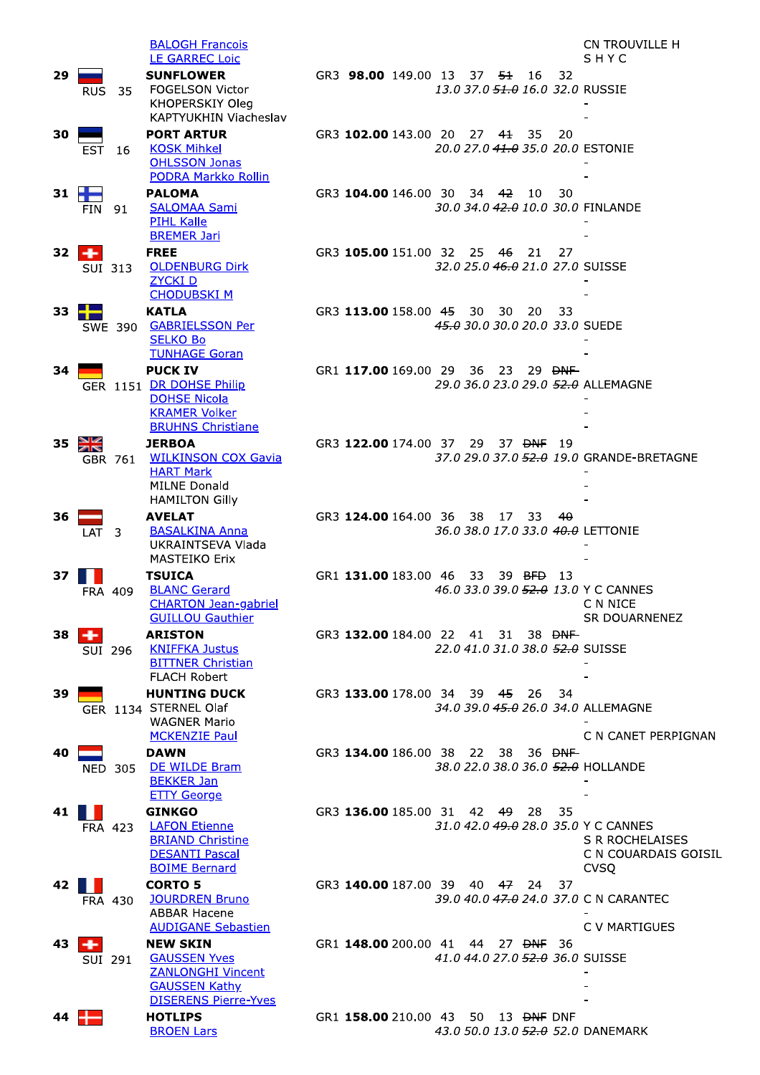